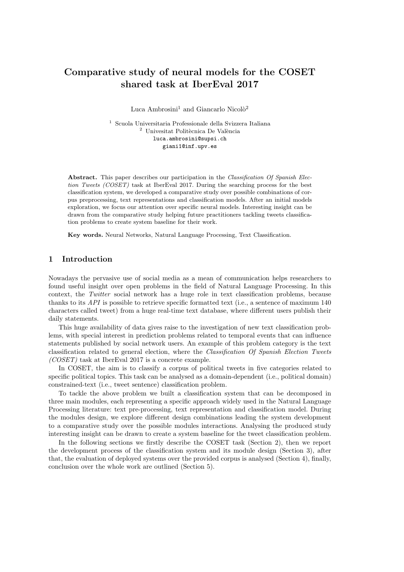# Comparative study of neural models for the COSET shared task at IberEval 2017

Luca Ambrosini<sup>1</sup> and Giancarlo Nicolò<sup>2</sup>

 $^{\rm 1}$  Scuola Universitaria Professionale della Svizzera Italiana  $^2$ Univesitat Politècnica De València luca.ambrosini@supsi.ch giani1@inf.upv.es

Abstract. This paper describes our participation in the Classification Of Spanish Election Tweets (COSET) task at IberEval 2017. During the searching process for the best classification system, we developed a comparative study over possible combinations of corpus preprocessing, text representations and classification models. After an initial models exploration, we focus our attention over specific neural models. Interesting insight can be drawn from the comparative study helping future practitioners tackling tweets classification problems to create system baseline for their work.

Key words. Neural Networks, Natural Language Processing, Text Classification.

### 1 Introduction

Nowadays the pervasive use of social media as a mean of communication helps researchers to found useful insight over open problems in the field of Natural Language Processing. In this context, the Twitter social network has a huge role in text classification problems, because thanks to its API is possible to retrieve specific formatted text (i.e., a sentence of maximum 140 characters called tweet) from a huge real-time text database, where different users publish their daily statements.

This huge availability of data gives raise to the investigation of new text classification problems, with special interest in prediction problems related to temporal events that can influence statements published by social network users. An example of this problem category is the text classification related to general election, where the Classification Of Spanish Election Tweets (COSET) task at IberEval 2017 is a concrete example.

In COSET, the aim is to classify a corpus of political tweets in five categories related to specific political topics. This task can be analysed as a domain-dependent (i.e., political domain) constrained-text (i.e., tweet sentence) classification problem.

To tackle the above problem we built a classification system that can be decomposed in three main modules, each representing a specific approach widely used in the Natural Language Processing literature: text pre-processing, text representation and classification model. During the modules design, we explore different design combinations leading the system development to a comparative study over the possible modules interactions. Analysing the produced study interesting insight can be drawn to create a system baseline for the tweet classification problem.

In the following sections we firstly describe the COSET task (Section [2\)](#page-1-0), then we report the development process of the classification system and its module design (Section [3\)](#page-1-1), after that, the evaluation of deployed systems over the provided corpus is analysed (Section [4\)](#page-4-0), finally, conclusion over the whole work are outlined (Section [5\)](#page-6-0).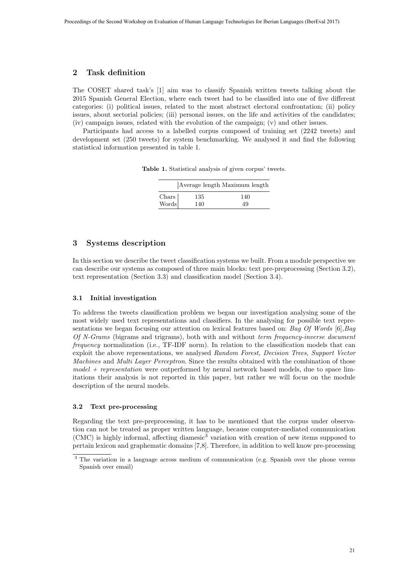## <span id="page-1-0"></span>2 Task definition

The COSET shared task's [\[1\]](#page-7-0) aim was to classify Spanish written tweets talking about the 2015 Spanish General Election, where each tweet had to be classified into one of five different categories: (i) political issues, related to the most abstract electoral confrontation; (ii) policy issues, about sectorial policies; (iii) personal issues, on the life and activities of the candidates; (iv) campaign issues, related with the evolution of the campaign; (v) and other issues.

Participants had access to a labelled corpus composed of training set (2242 tweets) and development set (250 tweets) for system benchmarking. We analysed it and find the following statistical information presented in table [1.](#page-1-2)

Table 1. Statistical analysis of given corpus' tweets.

<span id="page-1-2"></span>

|                |     | Average length Maximum length |
|----------------|-----|-------------------------------|
|                | 135 | 140                           |
| Chars<br>Words | 140 | 49                            |

## <span id="page-1-1"></span>3 Systems description

In this section we describe the tweet classification systems we built. From a module perspective we can describe our systems as composed of three main blocks: text pre-preprocessing (Section [3.2\)](#page-1-3), text representation (Section [3.3\)](#page-2-0) and classification model (Section [3.4\)](#page-3-0).

### 3.1 Initial investigation

To address the tweets classification problem we began our investigation analysing some of the most widely used text representations and classifiers. In the analysing for possible text representations we began focusing our attention on lexical features based on: Bag Of Words  $[6], Bag$  $[6], Bag$ Of N-Grams (bigrams and trigrams), both with and without term frequency-inverse document frequency normalization (i.e., TF-IDF norm). In relation to the classification models that can exploit the above representations, we analysed Random Forest, Decision Trees, Support Vector Machines and Multi Layer Perceptron. Since the results obtained with the combination of those  $model + representation$  were outperformed by neural network based models, due to space limitations their analysis is not reported in this paper, but rather we will focus on the module description of the neural models.

#### <span id="page-1-3"></span>3.2 Text pre-processing

Regarding the text pre-preprocessing, it has to be mentioned that the corpus under observation can not be treated as proper written language, because computer-mediated communication (CMC) is highly informal, affecting diamesic[3](#page-1-4) variation with creation of new items supposed to pertain lexicon and graphematic domains [\[7](#page-7-2)[,8\]](#page-7-3). Therefore, in addition to well know pre-processing

<span id="page-1-4"></span><sup>3</sup> The variation in a language across medium of communication (e.g. Spanish over the phone versus Spanish over email)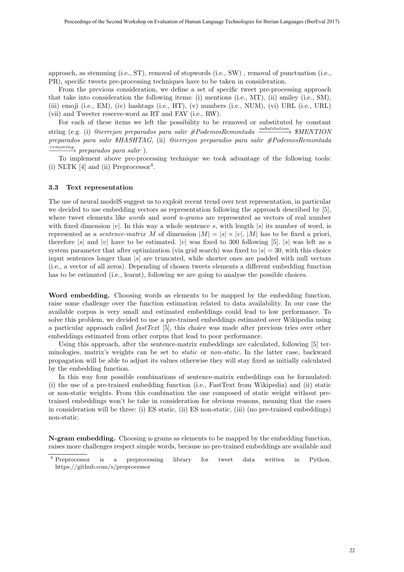approach, as stemming (i.e., ST), removal of stopwords (i.e., SW) , removal of punctuation (i.e., PR), specific tweets pre-processing techniques have to be taken in consideration.

From the previous consideration, we define a set of specific tweet pre-processing approach that take into consideration the following items: (i) mentions (i.e., MT), (ii) smiley (i.e., SM), (iii) emoji (i.e., EM), (iv) hashtags (i.e., HT), (v) numbers (i.e., NUM), (vi) URL (i.e., URL) (vii) and Tweeter reserve-word as RT and FAV (i.e., RW).

For each of these items we left the possibility to be removed or substituted by constant  $\sigma$ string (e.g. (i) *@ierrejon preparados para salir #PodemosRemontada*  $\xrightarrow{substitution}$  \$MENTION preparados para salir \$HASHTAG, (ii) @ierrejon preparados para salir #PodemosRemontada  $\frac{removing}{\longrightarrow}$  preparados para salir).

To implement above pre-processing technique we took advantage of the following tools:  $(i)$  NLTK [\[4\]](#page-7-4) and  $(ii)$  Preprocessor<sup>[4](#page-2-1)</sup>.

#### <span id="page-2-0"></span>3.3 Text representation

The use of neural modelS suggest us to exploit recent trend over text representation, in particular we decided to use embedding vectors as representation following the approach described by [\[5\]](#page-7-5), where tweet elements like *words* and *word n-grams* are represented as vectors of real number with fixed dimension |v|. In this way a whole sentence s, with length |s| its number of word, is represented as a *sentence-matrix* M of dimension  $|M| = |s| \times |v|$ . M has to be fixed a priori, therefore |s| and |v| have to be estimated. |v| was fixed to 300 following [\[5\]](#page-7-5). |s| was left as a system parameter that after optimization (via grid search) was fixed to  $|s| = 30$ , with this choice input sentences longer than  $|s|$  are truncated, while shorter ones are padded with null vectors (i.e., a vector of all zeros). Depending of chosen tweets elements a different embedding function has to be estimated (i.e., learnt), following we are going to analyse the possible choices.

Word embedding. Choosing words as elements to be mapped by the embedding function, raise some challenge over the function estimation related to data availability. In our case the available corpus is very small and estimated embeddings could lead to low performance. To solve this problem, we decided to use a pre-trained embeddings estimated over Wikipedia using a particular approach called *fastText* [\[5\]](#page-7-5), this choice was made after previous tries over other embeddings estimated from other corpus that lead to poor performance.

Using this approach, after the sentence-matrix embeddings are calculated, following [\[5\]](#page-7-5) terminologies, matrix's weights can be set to static or non-static. In the latter case, backward propagation will be able to adjust its values otherwise they will stay fixed as initially calculated by the embedding function.

In this way four possible combinations of sentence-matrix embeddings can be formulated: (i) the use of a pre-trained embedding function (i.e., FastText from Wikipedia) and (ii) static or non-static weights. From this combination the one composed of static weight without pretrained embeddings won't be take in consideration for obvious reasons, meaning that the cases in consideration will be three: (i) ES static, (ii) ES non-static, (iii) (no pre-trained embeddings) non-static.

N-gram embedding. Choosing n-grams as elements to be mapped by the embedding function, raises more challenges respect simple words, because no pre-trained embeddings are available and

<span id="page-2-1"></span><sup>4</sup> Preprocessor is a preprocessing library for tweet data written in Python, https://github.com/s/preprocessor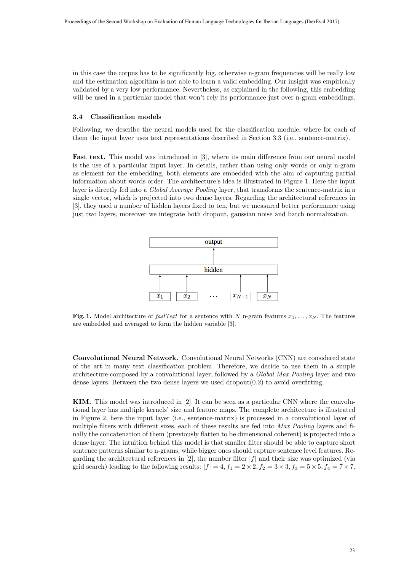in this case the corpus has to be significantly big, otherwise n-gram frequencies will be really low and the estimation algorithm is not able to learn a valid embedding. Our insight was empirically validated by a very low performance. Nevertheless, as explained in the following, this embedding will be used in a particular model that won't rely its performance just over n-gram embeddings.

#### <span id="page-3-0"></span>3.4 Classification models

Following, we describe the neural models used for the classification module, where for each of them the input layer uses text representations described in Section [3.3](#page-2-0) (i.e., sentence-matrix).

Fast text. This model was introduced in [\[3\]](#page-7-6), where its main difference from our neural model is the use of a particular input layer. In details, rather than using only words or only n-gram as element for the embedding, both elements are embedded with the aim of capturing partial information about words order. The architecture's idea is illustrated in Figure [1.](#page-3-1) Here the input layer is directly fed into a Global Average Pooling layer, that transforms the sentence-matrix in a single vector, which is projected into two dense layers. Regarding the architectural references in [\[3\]](#page-7-6), they used a number of hidden layers fixed to ten, but we measured better performance using just two layers, moreover we integrate both dropout, gaussian noise and batch normalization.



<span id="page-3-1"></span>Fig. 1. Model architecture of fast Text for a sentence with N n-gram features  $x_1, \ldots, x_N$ . The features are embedded and averaged to form the hidden variable [\[3\]](#page-7-6).

Convolutional Neural Network. Convolutional Neural Networks (CNN) are considered state of the art in many text classification problem. Therefore, we decide to use them in a simple architecture composed by a convolutional layer, followed by a Global Max Pooling layer and two dense layers. Between the two dense layers we used dropout $(0.2)$  to avoid overfitting.

KIM. This model was introduced in [\[2\]](#page-7-7). It can be seen as a particular CNN where the convolutional layer has multiple kernels' size and feature maps. The complete architecture is illustrated in Figure [2,](#page-4-1) here the input layer (i.e., sentence-matrix) is processed in a convolutional layer of multiple filters with different sizes, each of these results are fed into Max Pooling layers and finally the concatenation of them (previously flatten to be dimensional coherent) is projected into a dense layer. The intuition behind this model is that smaller filter should be able to capture short sentence patterns similar to n-grams, while bigger ones should capture sentence level features. Regarding the architectural references in  $[2]$ , the number filter  $|f|$  and their size was optimized (via grid search) leading to the following results:  $|f| = 4$ ,  $f_1 = 2 \times 2$ ,  $f_2 = 3 \times 3$ ,  $f_3 = 5 \times 5$ ,  $f_4 = 7 \times 7$ .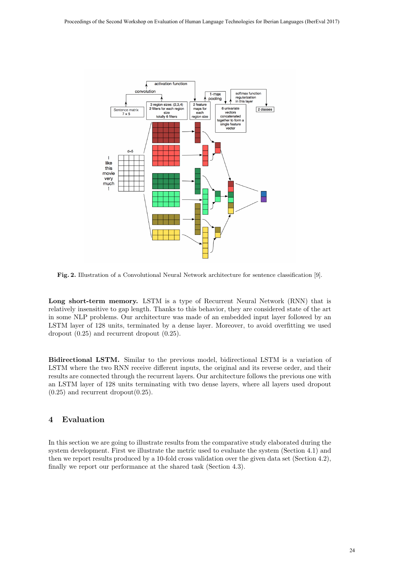

<span id="page-4-1"></span>Fig. 2. Illustration of a Convolutional Neural Network architecture for sentence classification [\[9\]](#page-7-8).

Long short-term memory. LSTM is a type of Recurrent Neural Network (RNN) that is relatively insensitive to gap length. Thanks to this behavior, they are considered state of the art in some NLP problems. Our architecture was made of an embedded input layer followed by an LSTM layer of 128 units, terminated by a dense layer. Moreover, to avoid overfitting we used dropout (0.25) and recurrent dropout (0.25).

Bidirectional LSTM. Similar to the previous model, bidirectional LSTM is a variation of LSTM where the two RNN receive different inputs, the original and its reverse order, and their results are connected through the recurrent layers. Our architecture follows the previous one with an LSTM layer of 128 units terminating with two dense layers, where all layers used dropout  $(0.25)$  and recurrent dropout $(0.25)$ .

# <span id="page-4-0"></span>4 Evaluation

In this section we are going to illustrate results from the comparative study elaborated during the system development. First we illustrate the metric used to evaluate the system (Section [4.1\)](#page-5-0) and then we report results produced by a 10-fold cross validation over the given data set (Section [4.2\)](#page-5-1), finally we report our performance at the shared task (Section [4.3\)](#page-6-1).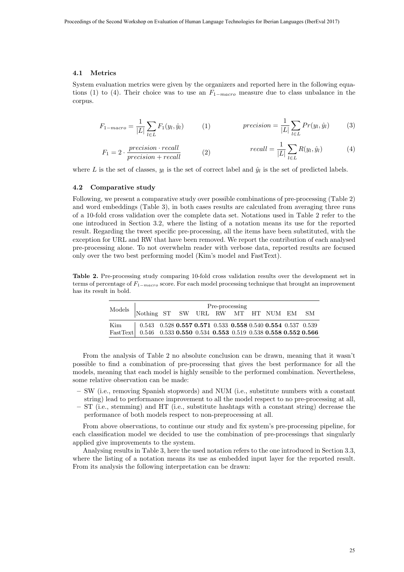### <span id="page-5-0"></span>4.1 Metrics

System evaluation metrics were given by the organizers and reported here in the following equa-tions [\(1\)](#page-5-2) to [\(4\)](#page-5-3). Their choice was to use an  $F_{1-macro}$  measure due to class unbalance in the corpus.

<span id="page-5-2"></span>
$$
F_{1-macro} = \frac{1}{|L|} \sum_{l \in L} F_1(y_l, \hat{y}_l)
$$
 (1) 
$$
precision = \frac{1}{|L|} \sum_{l \in L} Pr(y_l, \hat{y}_l)
$$
 (3)

<span id="page-5-3"></span>
$$
F_1 = 2 \cdot \frac{precision \cdot recall}{precision + recall} \qquad (2) \qquad \qquad recall = \frac{1}{|L|} \sum_{l \in L} R(y_l, \hat{y}_l) \qquad (4)
$$

where L is the set of classes,  $y_l$  is the set of correct label and  $\hat{y}_l$  is the set of predicted labels.

#### <span id="page-5-1"></span>4.2 Comparative study

Following, we present a comparative study over possible combinations of pre-processing (Table [2\)](#page-5-4) and word embeddings (Table [3\)](#page-6-2), in both cases results are calculated from averaging three runs of a 10-fold cross validation over the complete data set. Notations used in Table [2](#page-5-4) refer to the one introduced in Section [3.2,](#page-1-3) where the listing of a notation means its use for the reported result. Regarding the tweet specific pre-processing, all the items have been substituted, with the exception for URL and RW that have been removed. We report the contribution of each analysed pre-processing alone. To not overwhelm reader with verbose data, reported results are focused only over the two best performing model (Kim's model and FastText).

<span id="page-5-4"></span>Table 2. Pre-processing study comparing 10-fold cross validation results over the development set in terms of percentage of  $F_{1-macro}$  score. For each model processing technique that brought an improvement has its result in bold.

|                                                                                                                                                | Pre-processing<br>Models Nothing ST SW URL RW MT HT NUM EM SM |  |  |  |  |  |  |  |
|------------------------------------------------------------------------------------------------------------------------------------------------|---------------------------------------------------------------|--|--|--|--|--|--|--|
|                                                                                                                                                |                                                               |  |  |  |  |  |  |  |
| $\text{Kim} \qquad \quad \boxed{ \text{ 0.543 \ \ 0.528 \ \textbf{0.557 \ 0.571 \ \ 0.533 \ \ 0.558 \ \ 0.540 \ \ 0.554 \ \ 0.537 \ \ 0.539}}$ |                                                               |  |  |  |  |  |  |  |
| FastText 0.546 0.533 0.550 0.534 0.553 0.519 0.538 0.558 0.552 0.566                                                                           |                                                               |  |  |  |  |  |  |  |

From the analysis of Table [2](#page-5-4) no absolute conclusion can be drawn, meaning that it wasn't possible to find a combination of pre-processing that gives the best performance for all the models, meaning that each model is highly sensible to the performed combination. Nevertheless, some relative observation can be made:

- SW (i.e., removing Spanish stopwords) and NUM (i.e., substitute numbers with a constant string) lead to performance improvement to all the model respect to no pre-processing at all,
- ST (i.e., stemming) and HT (i.e., substitute hashtags with a constant string) decrease the performance of both models respect to non-preprocessing at all.

From above observations, to continue our study and fix system's pre-processing pipeline, for each classification model we decided to use the combination of pre-processings that singularly applied give improvements to the system.

Analysing results in Table [3,](#page-6-2) here the used notation refers to the one introduced in Section [3.3,](#page-2-0) where the listing of a notation means its use as embedded input layer for the reported result. From its analysis the following interpretation can be drawn: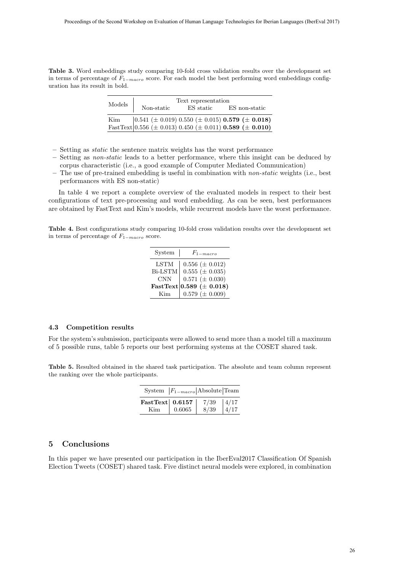<span id="page-6-2"></span>Table 3. Word embeddings study comparing 10-fold cross validation results over the development set in terms of percentage of  $F_{1-macro}$  score. For each model the best performing word embeddings configuration has its result in bold.

| Models | Text representation |           |                                                                                                                                                                                                                             |  |  |  |  |
|--------|---------------------|-----------|-----------------------------------------------------------------------------------------------------------------------------------------------------------------------------------------------------------------------------|--|--|--|--|
|        | Non-static          | ES static | ES non-static                                                                                                                                                                                                               |  |  |  |  |
|        |                     |           | Kim $\begin{bmatrix} 0.541 \ (\pm \ 0.019) \ 0.550 \ (\pm \ 0.015) \ 0.579 \ (\pm \ 0.018) \end{bmatrix}$<br>FastText $\begin{bmatrix} 0.556 \ (\pm \ 0.013) \ 0.450 \ (\pm \ 0.011) \ 0.589 \ (\pm \ 0.010) \end{bmatrix}$ |  |  |  |  |
|        |                     |           |                                                                                                                                                                                                                             |  |  |  |  |

- Setting as static the sentence matrix weights has the worst performance
- Setting as non-static leads to a better performance, where this insight can be deduced by corpus characteristic (i.e., a good example of Computer Mediated Communication)
- The use of pre-trained embedding is useful in combination with non-static weights (i.e., best performances with ES non-static)

In table [4](#page-6-3) we report a complete overview of the evaluated models in respect to their best configurations of text pre-processing and word embedding. As can be seen, best performances are obtained by FastText and Kim's models, while recurrent models have the worst performance.

<span id="page-6-3"></span>Table 4. Best configurations study comparing 10-fold cross validation results over the development set in terms of percentage of  $F_{1-macco}$  score.

| System      | $F_{1-macro}$                 |
|-------------|-------------------------------|
| <b>LSTM</b> | $0.556 \ (\pm 0.012)$         |
| Bi-LSTM     | $0.555 (\pm 0.035)$           |
| <b>CNN</b>  | $0.571 \ (\pm 0.030)$         |
|             | FastText 0.589 ( $\pm$ 0.018) |
| Kim         | $0.579 \ (\pm 0.009)$         |

#### <span id="page-6-1"></span>4.3 Competition results

For the system's submission, participants were allowed to send more than a model till a maximum of 5 possible runs, table [5](#page-6-4) reports our best performing systems at the COSET shared task.

<span id="page-6-4"></span>Table 5. Resulted obtained in the shared task participation. The absolute and team column represent the ranking over the whole participants.

|                    | System $ F_{1-macro} $ Absolute Team |              |                |
|--------------------|--------------------------------------|--------------|----------------|
| FastText $ 0.6157$ |                                      | 7/39<br>8/39 | $\frac{4}{17}$ |
| Kim.               | 0.6065                               |              |                |

### <span id="page-6-0"></span>5 Conclusions

In this paper we have presented our participation in the IberEval2017 Classification Of Spanish Election Tweets (COSET) shared task. Five distinct neural models were explored, in combination